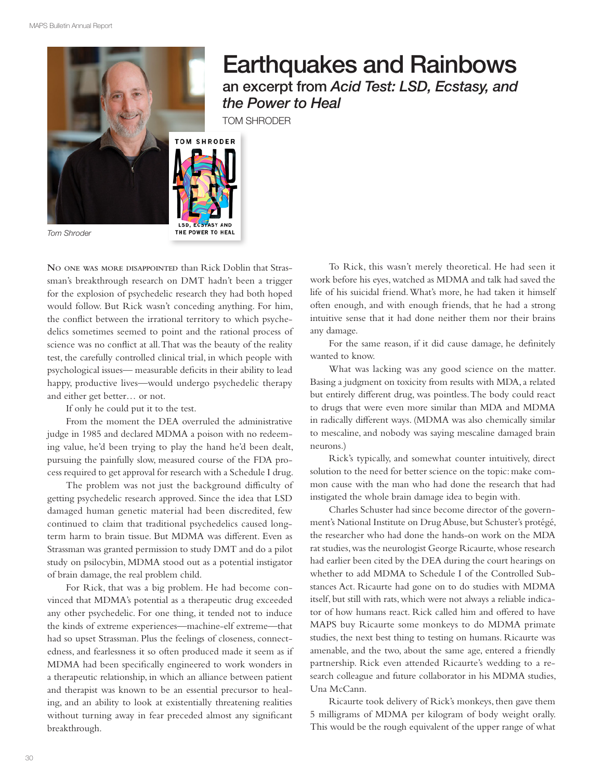

## Earthquakes and Rainbows an excerpt from Acid Test: LSD, Ecstasy, and the Power to Heal

TOM SHRODER



Tom Shroder

**NO ONE WAS MORE DISAPPOINTED** than Rick Doblin that Strassman's breakthrough research on DMT hadn't been a trigger for the explosion of psychedelic research they had both hoped would follow. But Rick wasn't conceding anything. For him, the confict between the irrational territory to which psychedelics sometimes seemed to point and the rational process of science was no confict at all. That was the beauty of the reality test, the carefully controlled clinical trial, in which people with psychological issues— measurable defcits in their ability to lead happy, productive lives—would undergo psychedelic therapy and either get better… or not.

If only he could put it to the test.

From the moment the DEA overruled the administrative judge in 1985 and declared MDMA a poison with no redeeming value, he'd been trying to play the hand he'd been dealt, pursuing the painfully slow, measured course of the FDA process required to get approval for research with a Schedule I drug.

The problem was not just the background difficulty of getting psychedelic research approved. Since the idea that LSD damaged human genetic material had been discredited, few continued to claim that traditional psychedelics caused longterm harm to brain tissue. But MDMA was diferent. Even as Strassman was granted permission to study DMT and do a pilot study on psilocybin, MDMA stood out as a potential instigator of brain damage, the real problem child.

For Rick, that was a big problem. He had become convinced that MDMA's potential as a therapeutic drug exceeded any other psychedelic. For one thing, it tended not to induce the kinds of extreme experiences—machine-elf extreme—that had so upset Strassman. Plus the feelings of closeness, connectedness, and fearlessness it so often produced made it seem as if MDMA had been specifcally engineered to work wonders in a therapeutic relationship, in which an alliance between patient and therapist was known to be an essential precursor to healing, and an ability to look at existentially threatening realities without turning away in fear preceded almost any signifcant breakthrough.

To Rick, this wasn't merely theoretical. He had seen it work before his eyes, watched as MDMA and talk had saved the life of his suicidal friend. What's more, he had taken it himself often enough, and with enough friends, that he had a strong intuitive sense that it had done neither them nor their brains any damage.

For the same reason, if it did cause damage, he defnitely wanted to know.

What was lacking was any good science on the matter. Basing a judgment on toxicity from results with MDA, a related but entirely diferent drug, was pointless. The body could react to drugs that were even more similar than MDA and MDMA in radically diferent ways. (MDMA was also chemically similar to mescaline, and nobody was saying mescaline damaged brain neurons.)

Rick's typically, and somewhat counter intuitively, direct solution to the need for better science on the topic: make common cause with the man who had done the research that had instigated the whole brain damage idea to begin with.

Charles Schuster had since become director of the government's National Institute on Drug Abuse, but Schuster's protégé, the researcher who had done the hands-on work on the MDA rat studies, was the neurologist George Ricaurte, whose research had earlier been cited by the DEA during the court hearings on whether to add MDMA to Schedule I of the Controlled Substances Act. Ricaurte had gone on to do studies with MDMA itself, but still with rats, which were not always a reliable indicator of how humans react. Rick called him and ofered to have MAPS buy Ricaurte some monkeys to do MDMA primate studies, the next best thing to testing on humans. Ricaurte was amenable, and the two, about the same age, entered a friendly partnership. Rick even attended Ricaurte's wedding to a research colleague and future collaborator in his MDMA studies, Una McCann.

Ricaurte took delivery of Rick's monkeys, then gave them 5 milligrams of MDMA per kilogram of body weight orally. This would be the rough equivalent of the upper range of what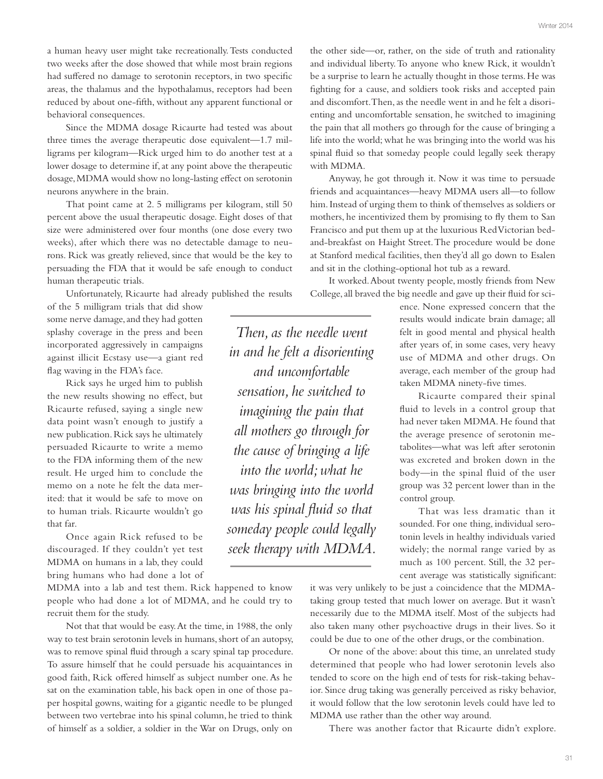a human heavy user might take recreationally. Tests conducted two weeks after the dose showed that while most brain regions had suffered no damage to serotonin receptors, in two specific areas, the thalamus and the hypothalamus, receptors had been reduced by about one-ffth, without any apparent functional or behavioral consequences.

Since the MDMA dosage Ricaurte had tested was about three times the average therapeutic dose equivalent—1.7 milligrams per kilogram—Rick urged him to do another test at a lower dosage to determine if, at any point above the therapeutic dosage, MDMA would show no long-lasting efect on serotonin neurons anywhere in the brain.

That point came at 2. 5 milligrams per kilogram, still 50 percent above the usual therapeutic dosage. Eight doses of that size were administered over four months (one dose every two weeks), after which there was no detectable damage to neurons. Rick was greatly relieved, since that would be the key to persuading the FDA that it would be safe enough to conduct human therapeutic trials.

Unfortunately, Ricaurte had already published the results

of the 5 milligram trials that did show some nerve damage, and they had gotten splashy coverage in the press and been incorporated aggressively in campaigns against illicit Ecstasy use—a giant red fag waving in the FDA's face.

Rick says he urged him to publish the new results showing no efect, but Ricaurte refused, saying a single new data point wasn't enough to justify a new publication. Rick says he ultimately persuaded Ricaurte to write a memo to the FDA informing them of the new result. He urged him to conclude the memo on a note he felt the data merited: that it would be safe to move on to human trials. Ricaurte wouldn't go that far.

Once again Rick refused to be discouraged. If they couldn't yet test MDMA on humans in a lab, they could bring humans who had done a lot of

MDMA into a lab and test them. Rick happened to know people who had done a lot of MDMA, and he could try to recruit them for the study.

Not that that would be easy. At the time, in 1988, the only way to test brain serotonin levels in humans, short of an autopsy, was to remove spinal fuid through a scary spinal tap procedure. To assure himself that he could persuade his acquaintances in good faith, Rick ofered himself as subject number one. As he sat on the examination table, his back open in one of those paper hospital gowns, waiting for a gigantic needle to be plunged between two vertebrae into his spinal column, he tried to think of himself as a soldier, a soldier in the War on Drugs, only on

the other side—or, rather, on the side of truth and rationality and individual liberty. To anyone who knew Rick, it wouldn't be a surprise to learn he actually thought in those terms. He was fghting for a cause, and soldiers took risks and accepted pain and discomfort. Then, as the needle went in and he felt a disorienting and uncomfortable sensation, he switched to imagining the pain that all mothers go through for the cause of bringing a life into the world; what he was bringing into the world was his spinal fuid so that someday people could legally seek therapy with MDMA.

Anyway, he got through it. Now it was time to persuade friends and acquaintances—heavy MDMA users all—to follow him. Instead of urging them to think of themselves as soldiers or mothers, he incentivized them by promising to fy them to San Francisco and put them up at the luxurious Red Victorian bedand-breakfast on Haight Street. The procedure would be done at Stanford medical facilities, then they'd all go down to Esalen and sit in the clothing-optional hot tub as a reward.

It worked. About twenty people, mostly friends from New College, all braved the big needle and gave up their fuid for sci-

*Then, as the needle went in and he felt a disorienting and uncomfortable sensation, he switched to imagining the pain that all mothers go through for the cause of bringing a life into the world; what he was bringing into the world was his spinal fuid so that someday people could legally seek therapy with MDMA.*

ence. None expressed concern that the results would indicate brain damage; all felt in good mental and physical health after years of, in some cases, very heavy use of MDMA and other drugs. On average, each member of the group had taken MDMA ninety-fve times.

Ricaurte compared their spinal fuid to levels in a control group that had never taken MDMA. He found that the average presence of serotonin metabolites—what was left after serotonin was excreted and broken down in the body—in the spinal fluid of the user group was 32 percent lower than in the control group.

That was less dramatic than it sounded. For one thing, individual serotonin levels in healthy individuals varied widely; the normal range varied by as much as 100 percent. Still, the 32 percent average was statistically signifcant:

it was very unlikely to be just a coincidence that the MDMAtaking group tested that much lower on average. But it wasn't necessarily due to the MDMA itself. Most of the subjects had also taken many other psychoactive drugs in their lives. So it could be due to one of the other drugs, or the combination.

Or none of the above: about this time, an unrelated study determined that people who had lower serotonin levels also tended to score on the high end of tests for risk-taking behavior. Since drug taking was generally perceived as risky behavior, it would follow that the low serotonin levels could have led to MDMA use rather than the other way around.

There was another factor that Ricaurte didn't explore.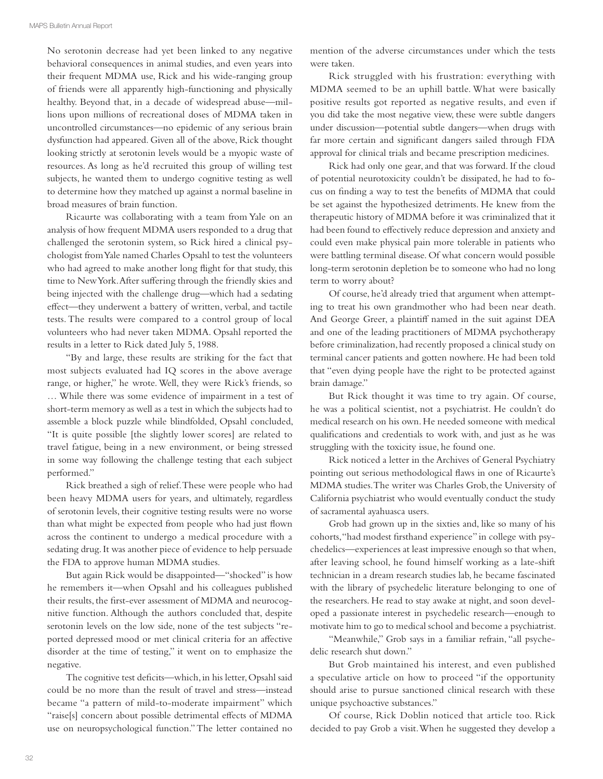No serotonin decrease had yet been linked to any negative behavioral consequences in animal studies, and even years into their frequent MDMA use, Rick and his wide-ranging group of friends were all apparently high-functioning and physically healthy. Beyond that, in a decade of widespread abuse—millions upon millions of recreational doses of MDMA taken in uncontrolled circumstances—no epidemic of any serious brain dysfunction had appeared. Given all of the above, Rick thought looking strictly at serotonin levels would be a myopic waste of resources. As long as he'd recruited this group of willing test subjects, he wanted them to undergo cognitive testing as well to determine how they matched up against a normal baseline in broad measures of brain function.

Ricaurte was collaborating with a team from Yale on an analysis of how frequent MDMA users responded to a drug that challenged the serotonin system, so Rick hired a clinical psychologist from Yale named Charles Opsahl to test the volunteers who had agreed to make another long fight for that study, this time to New York. After sufering through the friendly skies and being injected with the challenge drug—which had a sedating efect—they underwent a battery of written, verbal, and tactile tests. The results were compared to a control group of local volunteers who had never taken MDMA. Opsahl reported the results in a letter to Rick dated July 5, 1988.

"By and large, these results are striking for the fact that most subjects evaluated had IQ scores in the above average range, or higher," he wrote. Well, they were Rick's friends, so … While there was some evidence of impairment in a test of short-term memory as well as a test in which the subjects had to assemble a block puzzle while blindfolded, Opsahl concluded, "It is quite possible [the slightly lower scores] are related to travel fatigue, being in a new environment, or being stressed in some way following the challenge testing that each subject performed."

Rick breathed a sigh of relief. These were people who had been heavy MDMA users for years, and ultimately, regardless of serotonin levels, their cognitive testing results were no worse than what might be expected from people who had just fown across the continent to undergo a medical procedure with a sedating drug. It was another piece of evidence to help persuade the FDA to approve human MDMA studies.

But again Rick would be disappointed—"shocked" is how he remembers it—when Opsahl and his colleagues published their results, the frst-ever assessment of MDMA and neurocognitive function. Although the authors concluded that, despite serotonin levels on the low side, none of the test subjects "reported depressed mood or met clinical criteria for an afective disorder at the time of testing," it went on to emphasize the negative.

The cognitive test deficits—which, in his letter, Opsahl said could be no more than the result of travel and stress—instead became "a pattern of mild-to-moderate impairment" which "raise[s] concern about possible detrimental efects of MDMA use on neuropsychological function." The letter contained no

mention of the adverse circumstances under which the tests were taken.

Rick struggled with his frustration: everything with MDMA seemed to be an uphill battle. What were basically positive results got reported as negative results, and even if you did take the most negative view, these were subtle dangers under discussion—potential subtle dangers—when drugs with far more certain and signifcant dangers sailed through FDA approval for clinical trials and became prescription medicines.

Rick had only one gear, and that was forward. If the cloud of potential neurotoxicity couldn't be dissipated, he had to focus on fnding a way to test the benefts of MDMA that could be set against the hypothesized detriments. He knew from the therapeutic history of MDMA before it was criminalized that it had been found to efectively reduce depression and anxiety and could even make physical pain more tolerable in patients who were battling terminal disease. Of what concern would possible long-term serotonin depletion be to someone who had no long term to worry about?

Of course, he'd already tried that argument when attempting to treat his own grandmother who had been near death. And George Greer, a plaintif named in the suit against DEA and one of the leading practitioners of MDMA psychotherapy before criminalization, had recently proposed a clinical study on terminal cancer patients and gotten nowhere. He had been told that "even dying people have the right to be protected against brain damage."

But Rick thought it was time to try again. Of course, he was a political scientist, not a psychiatrist. He couldn't do medical research on his own. He needed someone with medical qualifcations and credentials to work with, and just as he was struggling with the toxicity issue, he found one.

Rick noticed a letter in the Archives of General Psychiatry pointing out serious methodological faws in one of Ricaurte's MDMA studies. The writer was Charles Grob, the University of California psychiatrist who would eventually conduct the study of sacramental ayahuasca users.

Grob had grown up in the sixties and, like so many of his cohorts, "had modest frsthand experience" in college with psychedelics—experiences at least impressive enough so that when, after leaving school, he found himself working as a late-shift technician in a dream research studies lab, he became fascinated with the library of psychedelic literature belonging to one of the researchers. He read to stay awake at night, and soon developed a passionate interest in psychedelic research—enough to motivate him to go to medical school and become a psychiatrist.

"Meanwhile," Grob says in a familiar refrain, "all psychedelic research shut down."

But Grob maintained his interest, and even published a speculative article on how to proceed "if the opportunity should arise to pursue sanctioned clinical research with these unique psychoactive substances."

Of course, Rick Doblin noticed that article too. Rick decided to pay Grob a visit. When he suggested they develop a